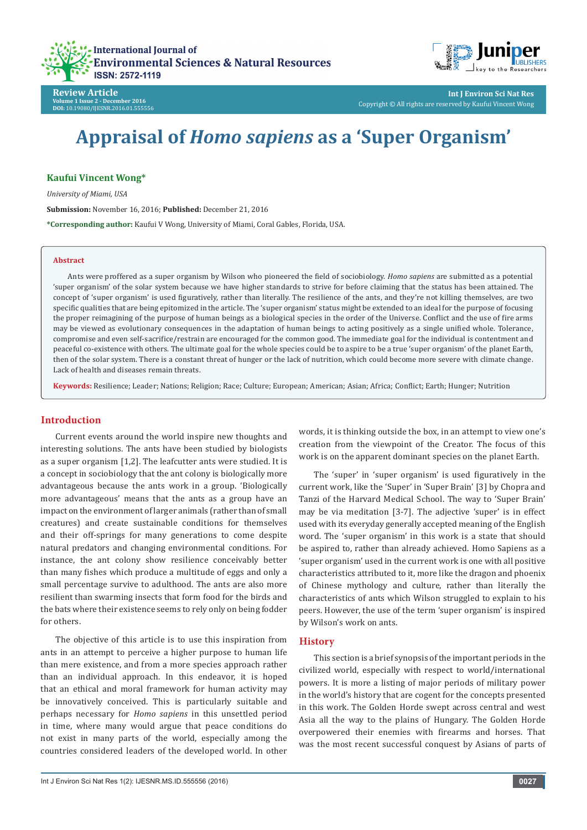



**Int J Environ Sci Nat Res** Copyright © All rights are reserved by Kaufui Vincent Wong

# **Appraisal of** *Homo sapiens* **as a 'Super Organism'**

# **Kaufui Vincent Wong\***

*University of Miami, USA*

**Submission:** November 16, 2016; **Published:** December 21, 2016

**\*Corresponding author:** Kaufui V Wong, University of Miami, Coral Gables, Florida, USA.

#### **Abstract**

Ants were proffered as a super organism by Wilson who pioneered the field of sociobiology. *Homo sapiens* are submitted as a potential 'super organism' of the solar system because we have higher standards to strive for before claiming that the status has been attained. The concept of 'super organism' is used figuratively, rather than literally. The resilience of the ants, and they're not killing themselves, are two specific qualities that are being epitomized in the article. The 'super organism' status might be extended to an ideal for the purpose of focusing the proper reimagining of the purpose of human beings as a biological species in the order of the Universe. Conflict and the use of fire arms may be viewed as evolutionary consequences in the adaptation of human beings to acting positively as a single unified whole. Tolerance, compromise and even self-sacrifice/restrain are encouraged for the common good. The immediate goal for the individual is contentment and peaceful co-existence with others. The ultimate goal for the whole species could be to aspire to be a true 'super organism' of the planet Earth, then of the solar system. There is a constant threat of hunger or the lack of nutrition, which could become more severe with climate change. Lack of health and diseases remain threats.

**Keywords:** Resilience; Leader; Nations; Religion; Race; Culture; European; American; Asian; Africa; Conflict; Earth; Hunger; Nutrition

#### **Introduction**

Current events around the world inspire new thoughts and interesting solutions. The ants have been studied by biologists as a super organism [1,2]. The leafcutter ants were studied. It is a concept in sociobiology that the ant colony is biologically more advantageous because the ants work in a group. 'Biologically more advantageous' means that the ants as a group have an impact on the environment of larger animals (rather than of small creatures) and create sustainable conditions for themselves and their off-springs for many generations to come despite natural predators and changing environmental conditions. For instance, the ant colony show resilience conceivably better than many fishes which produce a multitude of eggs and only a small percentage survive to adulthood. The ants are also more resilient than swarming insects that form food for the birds and the bats where their existence seems to rely only on being fodder for others.

The objective of this article is to use this inspiration from ants in an attempt to perceive a higher purpose to human life than mere existence, and from a more species approach rather than an individual approach. In this endeavor, it is hoped that an ethical and moral framework for human activity may be innovatively conceived. This is particularly suitable and perhaps necessary for *Homo sapiens* in this unsettled period in time, where many would argue that peace conditions do not exist in many parts of the world, especially among the countries considered leaders of the developed world. In other

words, it is thinking outside the box, in an attempt to view one's creation from the viewpoint of the Creator. The focus of this work is on the apparent dominant species on the planet Earth.

The 'super' in 'super organism' is used figuratively in the current work, like the 'Super' in 'Super Brain' [3] by Chopra and Tanzi of the Harvard Medical School. The way to 'Super Brain' may be via meditation [3-7]. The adjective 'super' is in effect used with its everyday generally accepted meaning of the English word. The 'super organism' in this work is a state that should be aspired to, rather than already achieved. Homo Sapiens as a 'super organism' used in the current work is one with all positive characteristics attributed to it, more like the dragon and phoenix of Chinese mythology and culture, rather than literally the characteristics of ants which Wilson struggled to explain to his peers. However, the use of the term 'super organism' is inspired by Wilson's work on ants.

## **History**

This section is a brief synopsis of the important periods in the civilized world, especially with respect to world/international powers. It is more a listing of major periods of military power in the world's history that are cogent for the concepts presented in this work. The Golden Horde swept across central and west Asia all the way to the plains of Hungary. The Golden Horde overpowered their enemies with firearms and horses. That was the most recent successful conquest by Asians of parts of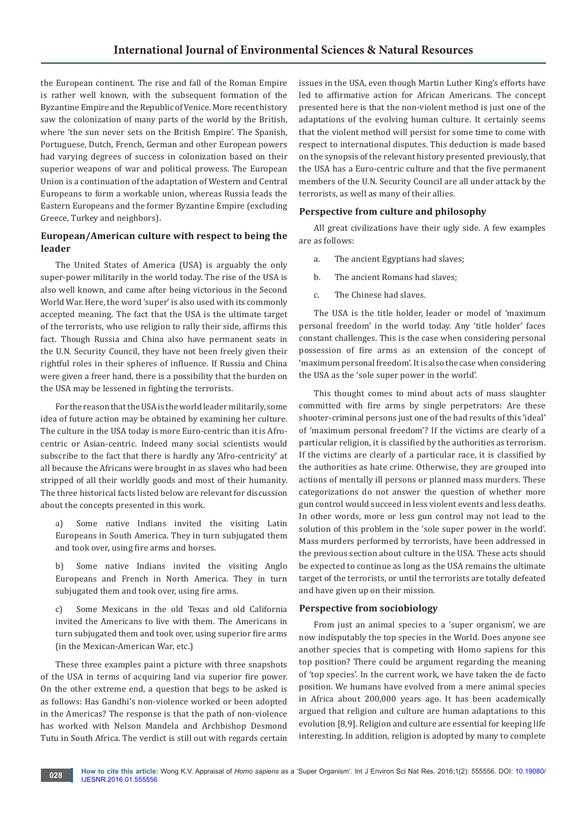the European continent. The rise and fall of the Roman Empire is rather well known, with the subsequent formation of the Byzantine Empire and the Republic of Venice. More recent history saw the colonization of many parts of the world by the British, where 'the sun never sets on the British Empire'. The Spanish, Portuguese, Dutch, French, German and other European powers had varying degrees of success in colonization based on their superior weapons of war and political prowess. The European Union is a continuation of the adaptation of Western and Central Europeans to form a workable union, whereas Russia leads the Eastern Europeans and the former Byzantine Empire (excluding Greece, Turkey and neighbors).

# **European/American culture with respect to being the leader**

The United States of America (USA) is arguably the only super-power militarily in the world today. The rise of the USA is also well known, and came after being victorious in the Second World War. Here, the word 'super' is also used with its commonly accepted meaning. The fact that the USA is the ultimate target of the terrorists, who use religion to rally their side, affirms this fact. Though Russia and China also have permanent seats in the U.N. Security Council, they have not been freely given their rightful roles in their spheres of influence. If Russia and China were given a freer hand, there is a possibility that the burden on the USA may be lessened in fighting the terrorists.

For the reason that the USA is the world leader militarily, some idea of future action may be obtained by examining her culture. The culture in the USA today is more Euro-centric than it is Afrocentric or Asian-centric. Indeed many social scientists would subscribe to the fact that there is hardly any 'Afro-centricity' at all because the Africans were brought in as slaves who had been stripped of all their worldly goods and most of their humanity. The three historical facts listed below are relevant for discussion about the concepts presented in this work.

- a) Some native Indians invited the visiting Latin Europeans in South America. They in turn subjugated them and took over, using fire arms and horses.
- b) Some native Indians invited the visiting Anglo Europeans and French in North America. They in turn subjugated them and took over, using fire arms.

c) Some Mexicans in the old Texas and old California invited the Americans to live with them. The Americans in turn subjugated them and took over, using superior fire arms (in the Mexican-American War, etc.)

These three examples paint a picture with three snapshots of the USA in terms of acquiring land via superior fire power. On the other extreme end, a question that begs to be asked is as follows: Has Gandhi's non-violence worked or been adopted in the Americas? The response is that the path of non-violence has worked with Nelson Mandela and Archbishop Desmond Tutu in South Africa. The verdict is still out with regards certain

issues in the USA, even though Martin Luther King's efforts have led to affirmative action for African Americans. The concept presented here is that the non-violent method is just one of the adaptations of the evolving human culture. It certainly seems that the violent method will persist for some time to come with respect to international disputes. This deduction is made based on the synopsis of the relevant history presented previously, that the USA has a Euro-centric culture and that the five permanent members of the U.N. Security Council are all under attack by the terrorists, as well as many of their allies.

## **Perspective from culture and philosophy**

All great civilizations have their ugly side. A few examples are as follows:

- a. The ancient Egyptians had slaves;
- b. The ancient Romans had slaves;
- c. The Chinese had slaves.

The USA is the title holder, leader or model of 'maximum personal freedom' in the world today. Any 'title holder' faces constant challenges. This is the case when considering personal possession of fire arms as an extension of the concept of 'maximum personal freedom'. It is also the case when considering the USA as the 'sole super power in the world'.

This thought comes to mind about acts of mass slaughter committed with fire arms by single perpetrators: Are these shooter-criminal persons just one of the bad results of this 'ideal' of 'maximum personal freedom'? If the victims are clearly of a particular religion, it is classified by the authorities as terrorism. If the victims are clearly of a particular race, it is classified by the authorities as hate crime. Otherwise, they are grouped into actions of mentally ill persons or planned mass murders. These categorizations do not answer the question of whether more gun control would succeed in less violent events and less deaths. In other words, more or less gun control may not lead to the solution of this problem in the 'sole super power in the world'. Mass murders performed by terrorists, have been addressed in the previous section about culture in the USA. These acts should be expected to continue as long as the USA remains the ultimate target of the terrorists, or until the terrorists are totally defeated and have given up on their mission.

#### **Perspective from sociobiology**

From just an animal species to a 'super organism', we are now indisputably the top species in the World. Does anyone see another species that is competing with Homo sapiens for this top position? There could be argument regarding the meaning of 'top species'. In the current work, we have taken the de facto position. We humans have evolved from a mere animal species in Africa about 200,000 years ago. It has been academically argued that religion and culture are human adaptations to this evolution [8,9]. Religion and culture are essential for keeping life interesting. In addition, religion is adopted by many to complete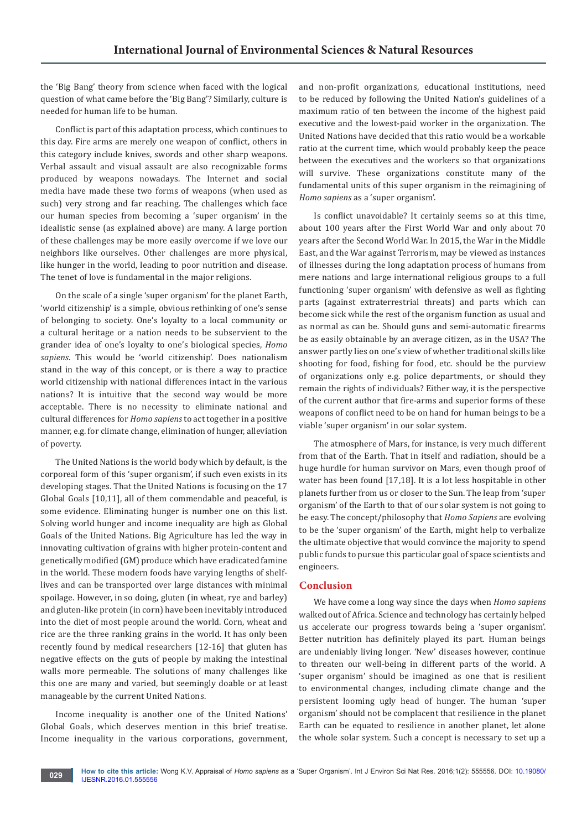the 'Big Bang' theory from science when faced with the logical question of what came before the 'Big Bang'? Similarly, culture is needed for human life to be human.

Conflict is part of this adaptation process, which continues to this day. Fire arms are merely one weapon of conflict, others in this category include knives, swords and other sharp weapons. Verbal assault and visual assault are also recognizable forms produced by weapons nowadays. The Internet and social media have made these two forms of weapons (when used as such) very strong and far reaching. The challenges which face our human species from becoming a 'super organism' in the idealistic sense (as explained above) are many. A large portion of these challenges may be more easily overcome if we love our neighbors like ourselves. Other challenges are more physical, like hunger in the world, leading to poor nutrition and disease. The tenet of love is fundamental in the major religions.

On the scale of a single 'super organism' for the planet Earth, 'world citizenship' is a simple, obvious rethinking of one's sense of belonging to society. One's loyalty to a local community or a cultural heritage or a nation needs to be subservient to the grander idea of one's loyalty to one's biological species, *Homo sapiens*. This would be 'world citizenship'. Does nationalism stand in the way of this concept, or is there a way to practice world citizenship with national differences intact in the various nations? It is intuitive that the second way would be more acceptable. There is no necessity to eliminate national and cultural differences for *Homo sapiens* to act together in a positive manner, e.g. for climate change, elimination of hunger, alleviation of poverty.

The United Nations is the world body which by default, is the corporeal form of this 'super organism', if such even exists in its developing stages. That the United Nations is focusing on the 17 Global Goals [10,11], all of them commendable and peaceful, is some evidence. Eliminating hunger is number one on this list. Solving world hunger and income inequality are high as Global Goals of the United Nations. Big Agriculture has led the way in innovating cultivation of grains with higher protein-content and genetically modified (GM) produce which have eradicated famine in the world. These modern foods have varying lengths of shelflives and can be transported over large distances with minimal spoilage. However, in so doing, gluten (in wheat, rye and barley) and gluten-like protein (in corn) have been inevitably introduced into the diet of most people around the world. Corn, wheat and rice are the three ranking grains in the world. It has only been recently found by medical researchers [12-16] that gluten has negative effects on the guts of people by making the intestinal walls more permeable. The solutions of many challenges like this one are many and varied, but seemingly doable or at least manageable by the current United Nations.

Income inequality is another one of the United Nations' Global Goals, which deserves mention in this brief treatise. Income inequality in the various corporations, government, and non-profit organizations, educational institutions, need to be reduced by following the United Nation's guidelines of a maximum ratio of ten between the income of the highest paid executive and the lowest-paid worker in the organization. The United Nations have decided that this ratio would be a workable ratio at the current time, which would probably keep the peace between the executives and the workers so that organizations will survive. These organizations constitute many of the fundamental units of this super organism in the reimagining of *Homo sapiens* as a 'super organism'.

Is conflict unavoidable? It certainly seems so at this time, about 100 years after the First World War and only about 70 years after the Second World War. In 2015, the War in the Middle East, and the War against Terrorism, may be viewed as instances of illnesses during the long adaptation process of humans from mere nations and large international religious groups to a full functioning 'super organism' with defensive as well as fighting parts (against extraterrestrial threats) and parts which can become sick while the rest of the organism function as usual and as normal as can be. Should guns and semi-automatic firearms be as easily obtainable by an average citizen, as in the USA? The answer partly lies on one's view of whether traditional skills like shooting for food, fishing for food, etc. should be the purview of organizations only e.g. police departments, or should they remain the rights of individuals? Either way, it is the perspective of the current author that fire-arms and superior forms of these weapons of conflict need to be on hand for human beings to be a viable 'super organism' in our solar system.

The atmosphere of Mars, for instance, is very much different from that of the Earth. That in itself and radiation, should be a huge hurdle for human survivor on Mars, even though proof of water has been found [17,18]. It is a lot less hospitable in other planets further from us or closer to the Sun. The leap from 'super organism' of the Earth to that of our solar system is not going to be easy. The concept/philosophy that *Homo Sapiens* are evolving to be the 'super organism' of the Earth, might help to verbalize the ultimate objective that would convince the majority to spend public funds to pursue this particular goal of space scientists and engineers.

# **Conclusion**

We have come a long way since the days when *Homo sapiens* walked out of Africa. Science and technology has certainly helped us accelerate our progress towards being a 'super organism'. Better nutrition has definitely played its part. Human beings are undeniably living longer. 'New' diseases however, continue to threaten our well-being in different parts of the world. A 'super organism' should be imagined as one that is resilient to environmental changes, including climate change and the persistent looming ugly head of hunger. The human 'super organism' should not be complacent that resilience in the planet Earth can be equated to resilience in another planet, let alone the whole solar system. Such a concept is necessary to set up a